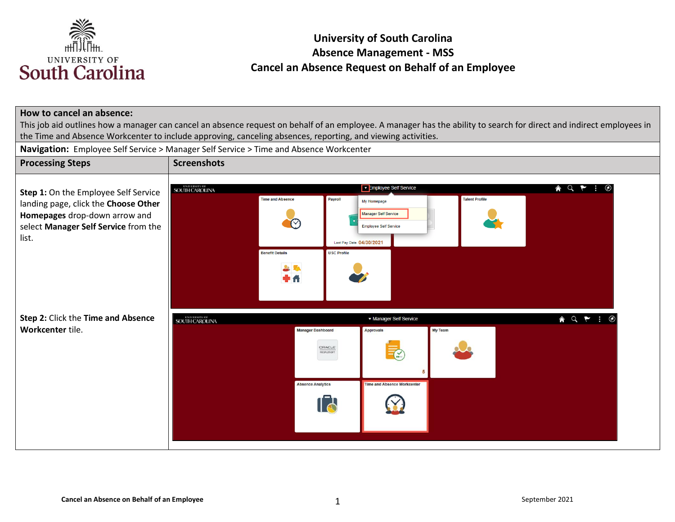

#### **How to cancel an absence:**

This job aid outlines how a manager can cancel an absence request on behalf of an employee. A manager has the ability to search for direct and indirect employees in the Time and Absence Workcenter to include approving, canceling absences, reporting, and viewing activities.

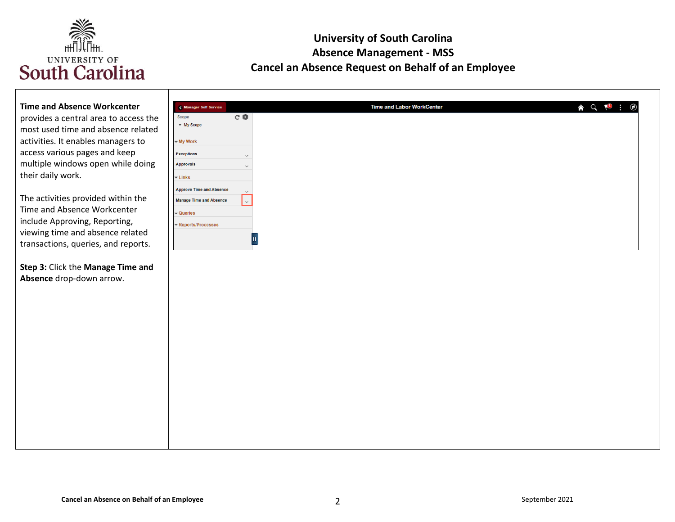

#### **Time and Absence Workcenter**

provides a central area to access the most used time and absence related activities. It enables managers to access various pages and keep multiple windows open while doing their daily work.

The activities provided within the Time and Absence Workcenter include Approving, Reporting, viewing time and absence related transactions, queries, and reports.

**Step 3:** Click the **Manage Time and Absence** drop-down arrow.

|                                  | Manager Self Service            |              |
|----------------------------------|---------------------------------|--------------|
| Scope                            |                                 | C₿           |
|                                  | • My Scope                      |              |
| - My Work                        |                                 |              |
| <b>Exceptions</b>                |                                 | $\checkmark$ |
| <b>Approvals</b>                 |                                 | $\checkmark$ |
| $\overline{\phantom{a}}$ Links   |                                 |              |
|                                  | <b>Approve Time and Absence</b> | $\checkmark$ |
|                                  | <b>Manage Time and Absence</b>  | $\vee$       |
| $\overline{\phantom{a}}$ Queries |                                 |              |
|                                  | Reports/Processes               |              |
|                                  |                                 |              |
|                                  |                                 | Ш            |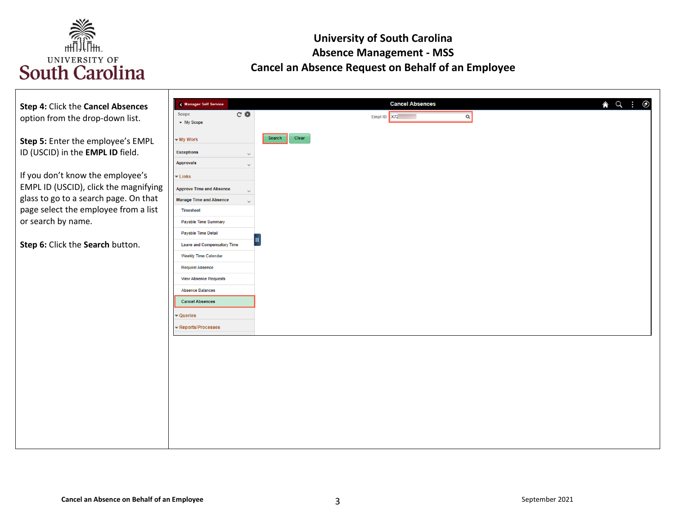

| Step 4: Click the Cancel Absences<br>option from the drop-down list.                                                                                                                                                                | <b>Cancel Absences</b><br>A Q :<br>$\odot$<br><b>K</b> Manager Self Service<br>$C$ $\Phi$<br>Scope<br>Empl ID X72<br>$\alpha$<br>• My Scope                                                                                                        |
|-------------------------------------------------------------------------------------------------------------------------------------------------------------------------------------------------------------------------------------|----------------------------------------------------------------------------------------------------------------------------------------------------------------------------------------------------------------------------------------------------|
| Step 5: Enter the employee's EMPL<br>ID (USCID) in the EMPL ID field.<br>If you don't know the employee's<br>EMPL ID (USCID), click the magnifying<br>glass to go to a search page. On that<br>page select the employee from a list | Clear<br>Search  <br>- My Work<br><b>Exceptions</b><br>$\checkmark$<br><b>Approvals</b><br>$\overline{\phantom{a}}$ Links<br><b>Approve Time and Absence</b><br>$\checkmark$<br><b>Manage Time and Absence</b><br>$\checkmark$<br><b>Timesheet</b> |
| or search by name.<br>Step 6: Click the Search button.                                                                                                                                                                              | <b>Payable Time Summary</b><br>Payable Time Detail<br><b>Leave and Compensatory Time</b><br>Weekly Time Calendar<br><b>Request Absence</b><br><b>View Absence Requests</b><br><b>Absence Balances</b><br><b>Cancel Absences</b><br>- Queries       |
|                                                                                                                                                                                                                                     | - Reports/Processes                                                                                                                                                                                                                                |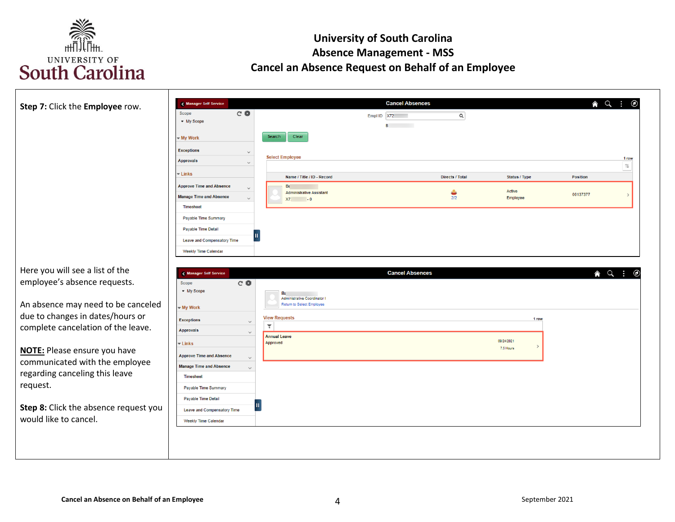

| Step 7: Click the Employee row.                                                                        | Manager Self Service<br>$C$ $\Phi$<br>Scope<br>• My Scope                                                                                                                                                                                            |                                                                                                                                    | <b>Cancel Absences</b><br>Empl ID X72<br><b>B B</b> | $\alpha$                                |                                            | $\land$ $\lor$ $\vdots$     | $\odot$                      |
|--------------------------------------------------------------------------------------------------------|------------------------------------------------------------------------------------------------------------------------------------------------------------------------------------------------------------------------------------------------------|------------------------------------------------------------------------------------------------------------------------------------|-----------------------------------------------------|-----------------------------------------|--------------------------------------------|-----------------------------|------------------------------|
|                                                                                                        | - My Work<br><b>Exceptions</b><br>$\checkmark$<br><b>Approvals</b><br>$\checkmark$<br><b>-Links</b><br><b>Approve Time and Absence</b><br>$\checkmark$<br><b>Manage Time and Absence</b><br>$\checkmark$<br><b>Timesheet</b><br>Payable Time Summary | Clear<br>Search<br><b>Select Employee</b><br>Name / Title / ID - Record<br>$B\epsilon$<br><b>Administrative Assistant</b><br>X7: 0 |                                                     | <b>Directs / Total</b><br>$rac{1}{2/2}$ | <b>Status / Type</b><br>Active<br>Employee | <b>Position</b><br>00137377 | 1 row<br>⇅                   |
| Here you will see a list of the                                                                        | Payable Time Detail<br>Ш<br>Leave and Compensatory Time<br><b>Weekly Time Calendar</b><br>Manager Self Service                                                                                                                                       |                                                                                                                                    | <b>Cancel Absences</b>                              |                                         |                                            |                             | $\land$ $\circ$ :<br>$\circ$ |
| employee's absence requests.<br>An absence may need to be canceled<br>due to changes in dates/hours or | $C$ $\Phi$<br>Scope<br>- My Scope<br>- My Work<br><b>Exceptions</b>                                                                                                                                                                                  | Bε<br>Administrative Coordinator I<br>Return to Select Employee<br><b>View Requests</b>                                            |                                                     |                                         | 1 row                                      |                             |                              |
| complete cancelation of the leave.<br>NOTE: Please ensure you have                                     | $\checkmark$<br><b>Approvals</b><br>$\checkmark$<br>$\overline{\phantom{a}}$ Links<br><b>Approve Time and Absence</b><br>$\checkmark$                                                                                                                | $\overline{\mathbf{r}}$<br><b>Annual Leave</b><br>Approved                                                                         |                                                     |                                         | 09/24/2021<br>$\rightarrow$<br>7.5 Hours   |                             |                              |
| communicated with the employee<br>regarding canceling this leave<br>request.                           | <b>Manage Time and Absence</b><br>$\checkmark$<br>Timesheet<br>Payable Time Summary<br>Payable Time Detail                                                                                                                                           |                                                                                                                                    |                                                     |                                         |                                            |                             |                              |
| Step 8: Click the absence request you                                                                  | <b>Leave and Compensatory Time</b>                                                                                                                                                                                                                   |                                                                                                                                    |                                                     |                                         |                                            |                             |                              |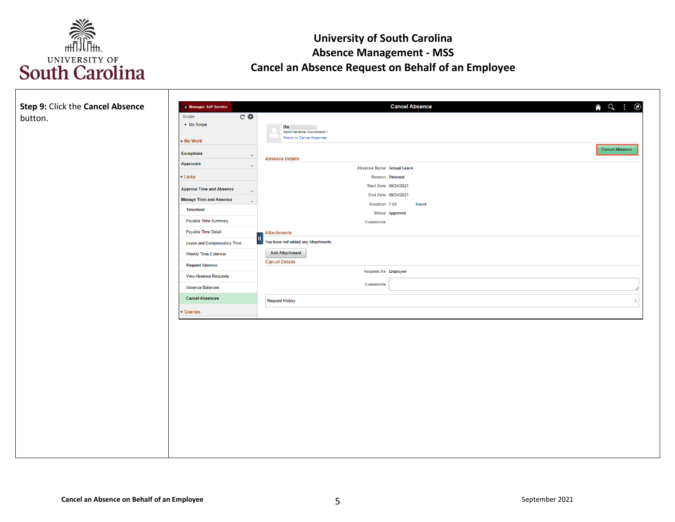

| Step 9: Click the Cancel Absence<br>button. | Manager Self Service<br>$C$ $\Phi$<br>Scope<br>• My Scope | $\land$ $\lor$ $\vdots$<br><b>Cancel Absence</b><br>$^{\circ}$<br>Ba<br>Administrative Coordinator I |
|---------------------------------------------|-----------------------------------------------------------|------------------------------------------------------------------------------------------------------|
|                                             | - My Work                                                 | Return to Cancel Absences                                                                            |
|                                             | <b>Exceptions</b><br>$\lor$                               | <b>Cancel Absence</b><br><b>Absence Details</b>                                                      |
|                                             | <b>Approvals</b><br>$\checkmark$                          | Absence Name Annual Leave                                                                            |
|                                             | $\blacktriangleright$ Links                               | Reason Personal<br>Start Date 09/24/2021                                                             |
|                                             | <b>Approve Time and Absence</b><br>$\checkmark$           | End Date 09/24/2021                                                                                  |
|                                             | <b>Manage Time and Absence</b><br>$\checkmark$            | Duration 7.50<br><b>Hours</b>                                                                        |
|                                             | Timesheet                                                 | <b>Status</b> Approved                                                                               |
|                                             | Payable Time Summary                                      | <b>Comments</b>                                                                                      |
|                                             | Payable Time Detail                                       | <b>Attachments</b>                                                                                   |
|                                             | <b>Leave and Compensatory Time</b>                        | You have not added any Attachments.                                                                  |
|                                             | <b>Weekly Time Calendar</b>                               | <b>Add Attachment</b><br><b>Cancel Details</b>                                                       |
|                                             | <b>Request Absence</b>                                    |                                                                                                      |
|                                             | <b>View Absence Requests</b>                              | Request As Employee                                                                                  |
|                                             | <b>Absence Balances</b>                                   | <b>Comments</b>                                                                                      |
|                                             | <b>Cancel Absences</b>                                    | <b>Request History</b>                                                                               |
|                                             | $\blacktriangleright$ Queries                             |                                                                                                      |
|                                             |                                                           |                                                                                                      |
|                                             |                                                           |                                                                                                      |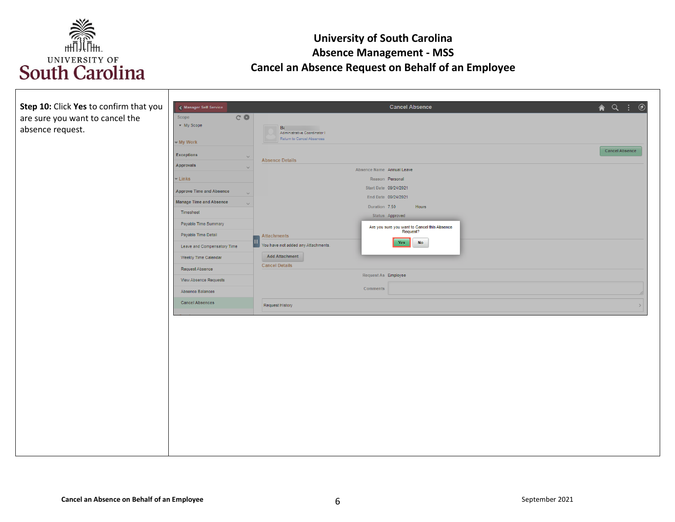

| Step 10: Click Yes to confirm that you | < Manager Self Service                   |                                                           | <b>Cancel Absence</b>                        | $\land$ Q $\colon$ $\circ$ |
|----------------------------------------|------------------------------------------|-----------------------------------------------------------|----------------------------------------------|----------------------------|
| are sure you want to cancel the        | $C$ $\Phi$<br>Scope                      |                                                           |                                              |                            |
| absence request.                       | • My Scope                               | B <sub>i</sub>                                            |                                              |                            |
|                                        |                                          | Administrative Coordinator I<br>Return to Cancel Absences |                                              |                            |
|                                        | - My Work                                |                                                           |                                              | <b>Cancel Absence</b>      |
|                                        | <b>Exceptions</b><br>$\checkmark$        | <b>Absence Details</b>                                    |                                              |                            |
|                                        | Approvals                                |                                                           | Absence Name Annual Leave                    |                            |
|                                        | $\overline{\phantom{a}}$ Links           |                                                           | Reason Personal                              |                            |
|                                        | <b>Approve Time and Absence</b>          |                                                           | Start Date 09/24/2021                        |                            |
|                                        | $\checkmark$                             |                                                           | End Date 09/24/2021                          |                            |
|                                        | <b>Manage Time and Absence</b><br>$\sim$ |                                                           | Duration 7.50<br>Hours                       |                            |
|                                        | Timesheet                                |                                                           | Status Approved                              |                            |
|                                        | Payable Time Summary                     |                                                           | Are you sure you want to Cancel this Absence |                            |
|                                        | Payable Time Detail                      | Attachments                                               | Request?                                     |                            |
|                                        | Leave and Compensatory Time              | Vou have not added any Attachments.                       | <b>No</b><br>Yes                             |                            |
|                                        | Weekly Time Calendar                     | <b>Add Attachment</b>                                     |                                              |                            |
|                                        | Request Absence                          | <b>Cancel Details</b>                                     |                                              |                            |
|                                        | View Absence Requests                    |                                                           | Request As Employee                          |                            |
|                                        |                                          |                                                           | Comments                                     |                            |
|                                        | Absence Balances                         |                                                           |                                              |                            |
|                                        | <b>Cancel Absences</b>                   | Request History                                           |                                              |                            |
|                                        |                                          |                                                           |                                              |                            |
|                                        |                                          |                                                           |                                              |                            |
|                                        |                                          |                                                           |                                              |                            |
|                                        |                                          |                                                           |                                              |                            |
|                                        |                                          |                                                           |                                              |                            |
|                                        |                                          |                                                           |                                              |                            |
|                                        |                                          |                                                           |                                              |                            |
|                                        |                                          |                                                           |                                              |                            |
|                                        |                                          |                                                           |                                              |                            |
|                                        |                                          |                                                           |                                              |                            |
|                                        |                                          |                                                           |                                              |                            |